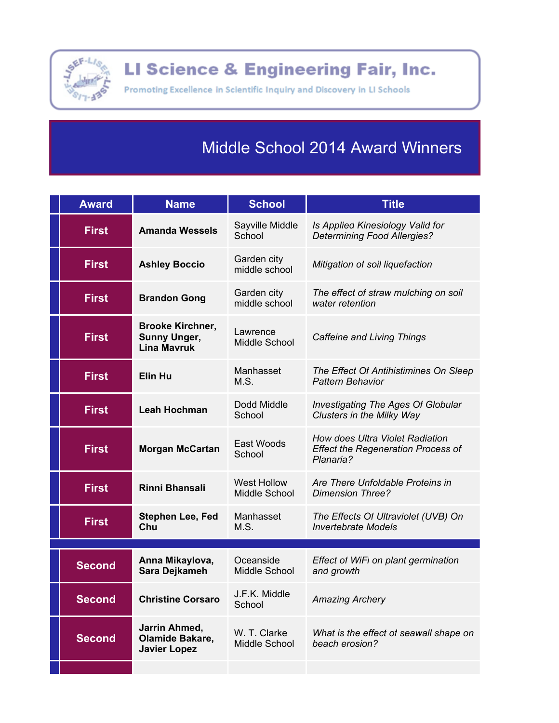

LI Science & Engineering Fair, Inc.

Promoting Excellence in Scientific Inquiry and Discovery in LI Schools

## **Middle School 2014 Award Winners**

| <b>Award</b>  | <b>Name</b>                                                          | <b>School</b>                       | <b>Title</b>                                                                              |
|---------------|----------------------------------------------------------------------|-------------------------------------|-------------------------------------------------------------------------------------------|
| <b>First</b>  | <b>Amanda Wessels</b>                                                | Sayville Middle<br>School           | Is Applied Kinesiology Valid for<br><b>Determining Food Allergies?</b>                    |
| <b>First</b>  | <b>Ashley Boccio</b>                                                 | Garden city<br>middle school        | Mitigation of soil liquefaction                                                           |
| <b>First</b>  | <b>Brandon Gong</b>                                                  | Garden city<br>middle school        | The effect of straw mulching on soil<br>water retention                                   |
| <b>First</b>  | <b>Brooke Kirchner,</b><br><b>Sunny Unger,</b><br><b>Lina Mavruk</b> | Lawrence<br>Middle School           | <b>Caffeine and Living Things</b>                                                         |
| <b>First</b>  | <b>Elin Hu</b>                                                       | Manhasset<br>M.S.                   | The Effect Of Antihistimines On Sleep<br>Pattern Behavior                                 |
| <b>First</b>  | <b>Leah Hochman</b>                                                  | Dodd Middle<br>School               | <b>Investigating The Ages Of Globular</b><br>Clusters in the Milky Way                    |
| <b>First</b>  | <b>Morgan McCartan</b>                                               | East Woods<br>School                | How does Ultra Violet Radiation<br><b>Effect the Regeneration Process of</b><br>Planaria? |
| <b>First</b>  | <b>Rinni Bhansali</b>                                                | <b>West Hollow</b><br>Middle School | Are There Unfoldable Proteins in<br><b>Dimension Three?</b>                               |
| <b>First</b>  | <b>Stephen Lee, Fed</b><br>Chu                                       | Manhasset<br>M.S.                   | The Effects Of Ultraviolet (UVB) On<br><b>Invertebrate Models</b>                         |
|               |                                                                      |                                     |                                                                                           |
| <b>Second</b> | Anna Mikaylova,<br>Sara Dejkameh                                     | Oceanside<br>Middle School          | Effect of WiFi on plant germination<br>and growth                                         |
| <b>Second</b> | <b>Christine Corsaro</b>                                             | J.F.K. Middle<br>School             | <b>Amazing Archery</b>                                                                    |
| <b>Second</b> | Jarrin Ahmed,<br>Olamide Bakare,<br><b>Javier Lopez</b>              | W. T. Clarke<br>Middle School       | What is the effect of seawall shape on<br>beach erosion?                                  |
|               |                                                                      |                                     |                                                                                           |